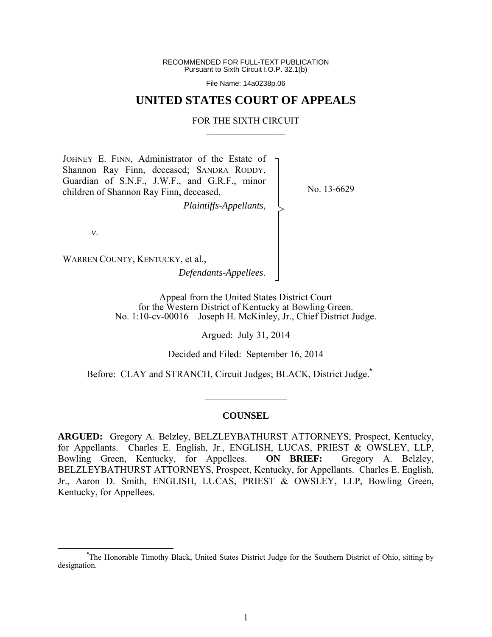RECOMMENDED FOR FULL-TEXT PUBLICATION Pursuant to Sixth Circuit I.O.P. 32.1(b)

File Name: 14a0238p.06

## **UNITED STATES COURT OF APPEALS**

#### FOR THE SIXTH CIRCUIT  $\mathcal{L}_\text{max}$

┐ │ │ │ │ │ │ │ │ │ │ ┘

>

JOHNEY E. FINN, Administrator of the Estate of Shannon Ray Finn, deceased; SANDRA RODDY, Guardian of S.N.F., J.W.F., and G.R.F., minor children of Shannon Ray Finn, deceased,

*Plaintiffs-Appellants*,

No. 13-6629

*v*.

WARREN COUNTY, KENTUCKY, et al., *Defendants-Appellees*.

> Appeal from the United States District Court for the Western District of Kentucky at Bowling Green. No. 1:10-cv-00016—Joseph H. McKinley, Jr., Chief District Judge.

> > Argued: July 31, 2014

Decided and Filed: September 16, 2014

Before: CLAY and STRANCH, Circuit Judges; BLACK, District Judge.**\***

#### **COUNSEL**

 $\frac{1}{2}$ 

**ARGUED:** Gregory A. Belzley, BELZLEYBATHURST ATTORNEYS, Prospect, Kentucky, for Appellants. Charles E. English, Jr., ENGLISH, LUCAS, PRIEST & OWSLEY, LLP, Bowling Green, Kentucky, for Appellees. **ON BRIEF:** Gregory A. Belzley, BELZLEYBATHURST ATTORNEYS, Prospect, Kentucky, for Appellants. Charles E. English, Jr., Aaron D. Smith, ENGLISH, LUCAS, PRIEST & OWSLEY, LLP, Bowling Green, Kentucky, for Appellees.

**\*** The Honorable Timothy Black, United States District Judge for the Southern District of Ohio, sitting by designation.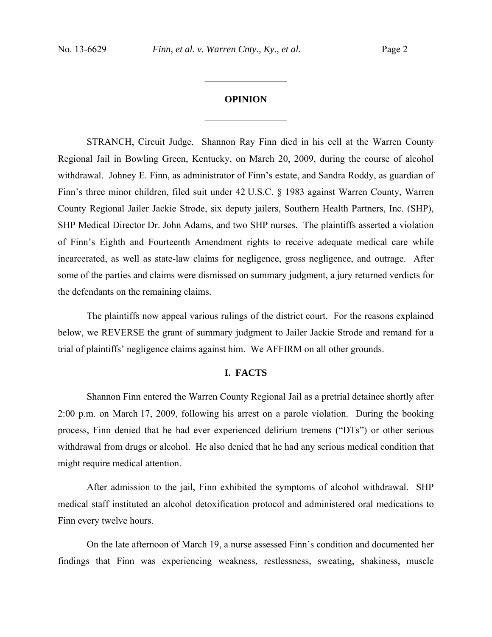### **OPINION**

 $\frac{1}{2}$ 

 $\frac{1}{2}$ 

STRANCH, Circuit Judge.Shannon Ray Finn died in his cell at the Warren County Regional Jail in Bowling Green, Kentucky, on March 20, 2009, during the course of alcohol withdrawal. Johney E. Finn, as administrator of Finn's estate, and Sandra Roddy, as guardian of Finn's three minor children, filed suit under 42 U.S.C. § 1983 against Warren County, Warren County Regional Jailer Jackie Strode, six deputy jailers, Southern Health Partners, Inc. (SHP), SHP Medical Director Dr. John Adams, and two SHP nurses. The plaintiffs asserted a violation of Finn's Eighth and Fourteenth Amendment rights to receive adequate medical care while incarcerated, as well as state-law claims for negligence, gross negligence, and outrage. After some of the parties and claims were dismissed on summary judgment, a jury returned verdicts for the defendants on the remaining claims.

The plaintiffs now appeal various rulings of the district court. For the reasons explained below, we REVERSE the grant of summary judgment to Jailer Jackie Strode and remand for a trial of plaintiffs' negligence claims against him. We AFFIRM on all other grounds.

## **I. FACTS**

Shannon Finn entered the Warren County Regional Jail as a pretrial detainee shortly after 2:00 p.m. on March 17, 2009, following his arrest on a parole violation. During the booking process, Finn denied that he had ever experienced delirium tremens ("DTs") or other serious withdrawal from drugs or alcohol. He also denied that he had any serious medical condition that might require medical attention.

 After admission to the jail, Finn exhibited the symptoms of alcohol withdrawal. SHP medical staff instituted an alcohol detoxification protocol and administered oral medications to Finn every twelve hours.

 On the late afternoon of March 19, a nurse assessed Finn's condition and documented her findings that Finn was experiencing weakness, restlessness, sweating, shakiness, muscle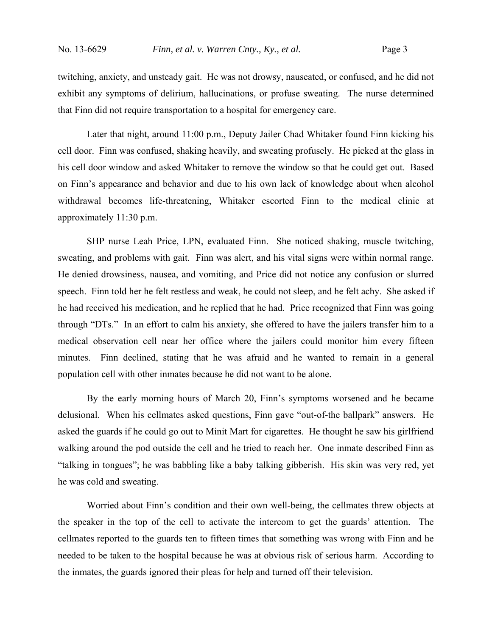twitching, anxiety, and unsteady gait. He was not drowsy, nauseated, or confused, and he did not exhibit any symptoms of delirium, hallucinations, or profuse sweating. The nurse determined that Finn did not require transportation to a hospital for emergency care.

 Later that night, around 11:00 p.m., Deputy Jailer Chad Whitaker found Finn kicking his cell door. Finn was confused, shaking heavily, and sweating profusely. He picked at the glass in his cell door window and asked Whitaker to remove the window so that he could get out. Based on Finn's appearance and behavior and due to his own lack of knowledge about when alcohol withdrawal becomes life-threatening, Whitaker escorted Finn to the medical clinic at approximately 11:30 p.m.

SHP nurse Leah Price, LPN, evaluated Finn. She noticed shaking, muscle twitching, sweating, and problems with gait. Finn was alert, and his vital signs were within normal range. He denied drowsiness, nausea, and vomiting, and Price did not notice any confusion or slurred speech. Finn told her he felt restless and weak, he could not sleep, and he felt achy. She asked if he had received his medication, and he replied that he had. Price recognized that Finn was going through "DTs." In an effort to calm his anxiety, she offered to have the jailers transfer him to a medical observation cell near her office where the jailers could monitor him every fifteen minutes. Finn declined, stating that he was afraid and he wanted to remain in a general population cell with other inmates because he did not want to be alone.

 By the early morning hours of March 20, Finn's symptoms worsened and he became delusional. When his cellmates asked questions, Finn gave "out-of-the ballpark" answers. He asked the guards if he could go out to Minit Mart for cigarettes. He thought he saw his girlfriend walking around the pod outside the cell and he tried to reach her. One inmate described Finn as "talking in tongues"; he was babbling like a baby talking gibberish. His skin was very red, yet he was cold and sweating.

Worried about Finn's condition and their own well-being, the cellmates threw objects at the speaker in the top of the cell to activate the intercom to get the guards' attention. The cellmates reported to the guards ten to fifteen times that something was wrong with Finn and he needed to be taken to the hospital because he was at obvious risk of serious harm. According to the inmates, the guards ignored their pleas for help and turned off their television.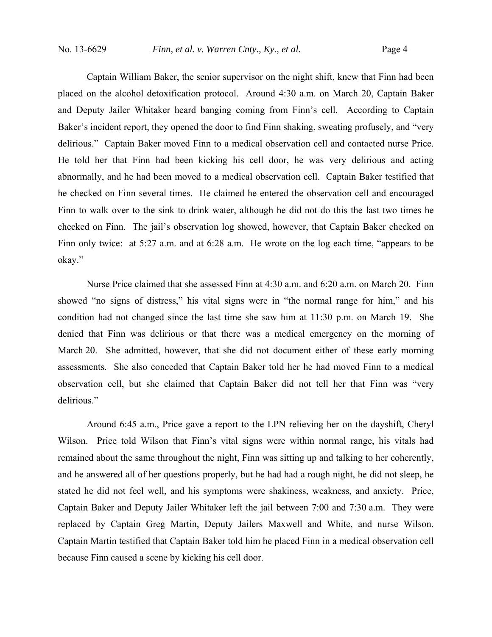Captain William Baker, the senior supervisor on the night shift, knew that Finn had been placed on the alcohol detoxification protocol. Around 4:30 a.m. on March 20, Captain Baker and Deputy Jailer Whitaker heard banging coming from Finn's cell. According to Captain Baker's incident report, they opened the door to find Finn shaking, sweating profusely, and "very delirious." Captain Baker moved Finn to a medical observation cell and contacted nurse Price. He told her that Finn had been kicking his cell door, he was very delirious and acting abnormally, and he had been moved to a medical observation cell. Captain Baker testified that he checked on Finn several times. He claimed he entered the observation cell and encouraged Finn to walk over to the sink to drink water, although he did not do this the last two times he checked on Finn. The jail's observation log showed, however, that Captain Baker checked on Finn only twice: at 5:27 a.m. and at 6:28 a.m. He wrote on the log each time, "appears to be okay."

Nurse Price claimed that she assessed Finn at 4:30 a.m. and 6:20 a.m. on March 20. Finn showed "no signs of distress," his vital signs were in "the normal range for him," and his condition had not changed since the last time she saw him at 11:30 p.m. on March 19. She denied that Finn was delirious or that there was a medical emergency on the morning of March 20. She admitted, however, that she did not document either of these early morning assessments. She also conceded that Captain Baker told her he had moved Finn to a medical observation cell, but she claimed that Captain Baker did not tell her that Finn was "very delirious."

Around 6:45 a.m., Price gave a report to the LPN relieving her on the dayshift, Cheryl Wilson. Price told Wilson that Finn's vital signs were within normal range, his vitals had remained about the same throughout the night, Finn was sitting up and talking to her coherently, and he answered all of her questions properly, but he had had a rough night, he did not sleep, he stated he did not feel well, and his symptoms were shakiness, weakness, and anxiety. Price, Captain Baker and Deputy Jailer Whitaker left the jail between 7:00 and 7:30 a.m. They were replaced by Captain Greg Martin, Deputy Jailers Maxwell and White, and nurse Wilson. Captain Martin testified that Captain Baker told him he placed Finn in a medical observation cell because Finn caused a scene by kicking his cell door.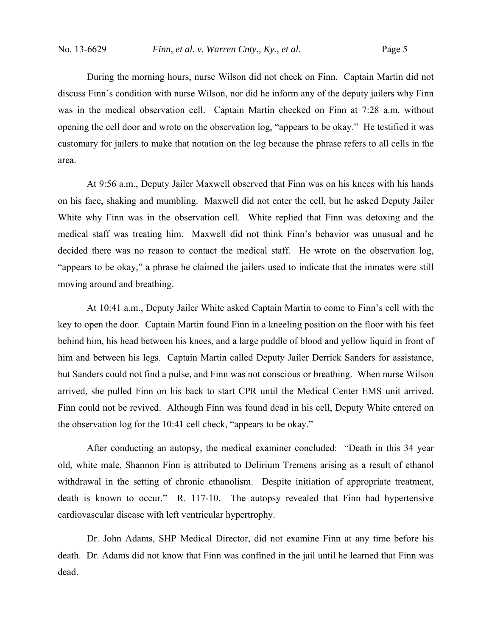During the morning hours, nurse Wilson did not check on Finn. Captain Martin did not discuss Finn's condition with nurse Wilson, nor did he inform any of the deputy jailers why Finn was in the medical observation cell. Captain Martin checked on Finn at 7:28 a.m. without opening the cell door and wrote on the observation log, "appears to be okay." He testified it was customary for jailers to make that notation on the log because the phrase refers to all cells in the area.

 At 9:56 a.m., Deputy Jailer Maxwell observed that Finn was on his knees with his hands on his face, shaking and mumbling. Maxwell did not enter the cell, but he asked Deputy Jailer White why Finn was in the observation cell. White replied that Finn was detoxing and the medical staff was treating him. Maxwell did not think Finn's behavior was unusual and he decided there was no reason to contact the medical staff. He wrote on the observation log, "appears to be okay," a phrase he claimed the jailers used to indicate that the inmates were still moving around and breathing.

At 10:41 a.m., Deputy Jailer White asked Captain Martin to come to Finn's cell with the key to open the door. Captain Martin found Finn in a kneeling position on the floor with his feet behind him, his head between his knees, and a large puddle of blood and yellow liquid in front of him and between his legs. Captain Martin called Deputy Jailer Derrick Sanders for assistance, but Sanders could not find a pulse, and Finn was not conscious or breathing. When nurse Wilson arrived, she pulled Finn on his back to start CPR until the Medical Center EMS unit arrived. Finn could not be revived. Although Finn was found dead in his cell, Deputy White entered on the observation log for the 10:41 cell check, "appears to be okay."

After conducting an autopsy, the medical examiner concluded: "Death in this 34 year old, white male, Shannon Finn is attributed to Delirium Tremens arising as a result of ethanol withdrawal in the setting of chronic ethanolism. Despite initiation of appropriate treatment, death is known to occur." R. 117-10. The autopsy revealed that Finn had hypertensive cardiovascular disease with left ventricular hypertrophy.

Dr. John Adams, SHP Medical Director, did not examine Finn at any time before his death. Dr. Adams did not know that Finn was confined in the jail until he learned that Finn was dead.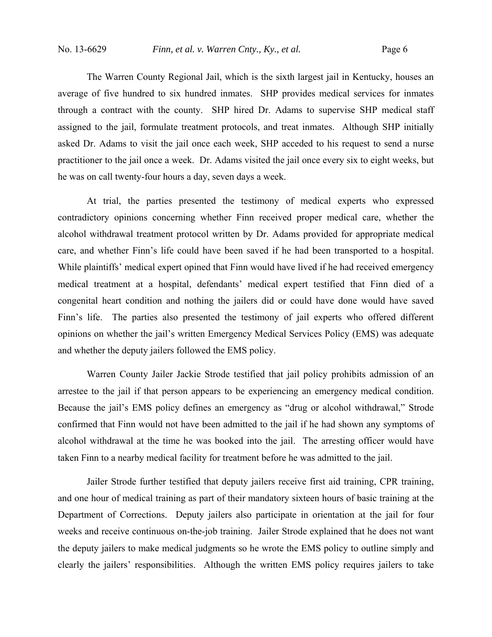The Warren County Regional Jail, which is the sixth largest jail in Kentucky, houses an average of five hundred to six hundred inmates. SHP provides medical services for inmates through a contract with the county. SHP hired Dr. Adams to supervise SHP medical staff assigned to the jail, formulate treatment protocols, and treat inmates. Although SHP initially asked Dr. Adams to visit the jail once each week, SHP acceded to his request to send a nurse practitioner to the jail once a week. Dr. Adams visited the jail once every six to eight weeks, but he was on call twenty-four hours a day, seven days a week.

 At trial, the parties presented the testimony of medical experts who expressed contradictory opinions concerning whether Finn received proper medical care, whether the alcohol withdrawal treatment protocol written by Dr. Adams provided for appropriate medical care, and whether Finn's life could have been saved if he had been transported to a hospital. While plaintiffs' medical expert opined that Finn would have lived if he had received emergency medical treatment at a hospital, defendants' medical expert testified that Finn died of a congenital heart condition and nothing the jailers did or could have done would have saved Finn's life. The parties also presented the testimony of jail experts who offered different opinions on whether the jail's written Emergency Medical Services Policy (EMS) was adequate and whether the deputy jailers followed the EMS policy.

 Warren County Jailer Jackie Strode testified that jail policy prohibits admission of an arrestee to the jail if that person appears to be experiencing an emergency medical condition. Because the jail's EMS policy defines an emergency as "drug or alcohol withdrawal," Strode confirmed that Finn would not have been admitted to the jail if he had shown any symptoms of alcohol withdrawal at the time he was booked into the jail. The arresting officer would have taken Finn to a nearby medical facility for treatment before he was admitted to the jail.

 Jailer Strode further testified that deputy jailers receive first aid training, CPR training, and one hour of medical training as part of their mandatory sixteen hours of basic training at the Department of Corrections. Deputy jailers also participate in orientation at the jail for four weeks and receive continuous on-the-job training. Jailer Strode explained that he does not want the deputy jailers to make medical judgments so he wrote the EMS policy to outline simply and clearly the jailers' responsibilities. Although the written EMS policy requires jailers to take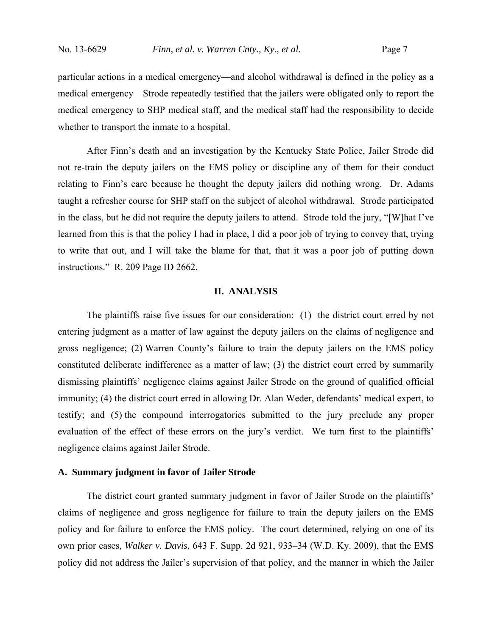particular actions in a medical emergency—and alcohol withdrawal is defined in the policy as a medical emergency—Strode repeatedly testified that the jailers were obligated only to report the medical emergency to SHP medical staff, and the medical staff had the responsibility to decide whether to transport the inmate to a hospital.

After Finn's death and an investigation by the Kentucky State Police, Jailer Strode did not re-train the deputy jailers on the EMS policy or discipline any of them for their conduct relating to Finn's care because he thought the deputy jailers did nothing wrong. Dr. Adams taught a refresher course for SHP staff on the subject of alcohol withdrawal. Strode participated in the class, but he did not require the deputy jailers to attend. Strode told the jury, "[W]hat I've learned from this is that the policy I had in place, I did a poor job of trying to convey that, trying to write that out, and I will take the blame for that, that it was a poor job of putting down instructions." R. 209 Page ID 2662.

### **II. ANALYSIS**

The plaintiffs raise five issues for our consideration: (1) the district court erred by not entering judgment as a matter of law against the deputy jailers on the claims of negligence and gross negligence; (2) Warren County's failure to train the deputy jailers on the EMS policy constituted deliberate indifference as a matter of law; (3) the district court erred by summarily dismissing plaintiffs' negligence claims against Jailer Strode on the ground of qualified official immunity; (4) the district court erred in allowing Dr. Alan Weder, defendants' medical expert, to testify; and (5) the compound interrogatories submitted to the jury preclude any proper evaluation of the effect of these errors on the jury's verdict. We turn first to the plaintiffs' negligence claims against Jailer Strode.

#### **A. Summary judgment in favor of Jailer Strode**

 The district court granted summary judgment in favor of Jailer Strode on the plaintiffs' claims of negligence and gross negligence for failure to train the deputy jailers on the EMS policy and for failure to enforce the EMS policy. The court determined, relying on one of its own prior cases, *Walker v. Davis*, 643 F. Supp. 2d 921, 933–34 (W.D. Ky. 2009), that the EMS policy did not address the Jailer's supervision of that policy, and the manner in which the Jailer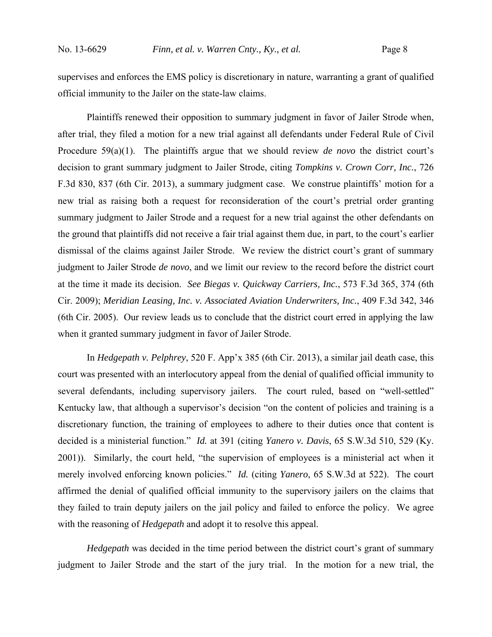supervises and enforces the EMS policy is discretionary in nature, warranting a grant of qualified official immunity to the Jailer on the state-law claims.

Plaintiffs renewed their opposition to summary judgment in favor of Jailer Strode when, after trial, they filed a motion for a new trial against all defendants under Federal Rule of Civil Procedure 59(a)(1). The plaintiffs argue that we should review *de novo* the district court's decision to grant summary judgment to Jailer Strode, citing *Tompkins v. Crown Corr, Inc.*, 726 F.3d 830, 837 (6th Cir. 2013), a summary judgment case. We construe plaintiffs' motion for a new trial as raising both a request for reconsideration of the court's pretrial order granting summary judgment to Jailer Strode and a request for a new trial against the other defendants on the ground that plaintiffs did not receive a fair trial against them due, in part, to the court's earlier dismissal of the claims against Jailer Strode. We review the district court's grant of summary judgment to Jailer Strode *de novo*, and we limit our review to the record before the district court at the time it made its decision. *See Biegas v. Quickway Carriers, Inc.*, 573 F.3d 365, 374 (6th Cir. 2009); *Meridian Leasing, Inc. v. Associated Aviation Underwriters, Inc.*, 409 F.3d 342, 346 (6th Cir. 2005). Our review leads us to conclude that the district court erred in applying the law when it granted summary judgment in favor of Jailer Strode.

 In *Hedgepath v. Pelphrey*, 520 F. App'x 385 (6th Cir. 2013), a similar jail death case, this court was presented with an interlocutory appeal from the denial of qualified official immunity to several defendants, including supervisory jailers. The court ruled, based on "well-settled" Kentucky law, that although a supervisor's decision "on the content of policies and training is a discretionary function, the training of employees to adhere to their duties once that content is decided is a ministerial function." *Id.* at 391 (citing *Yanero v. Davis*, 65 S.W.3d 510, 529 (Ky. 2001)). Similarly, the court held, "the supervision of employees is a ministerial act when it merely involved enforcing known policies." *Id.* (citing *Yanero*, 65 S.W.3d at 522). The court affirmed the denial of qualified official immunity to the supervisory jailers on the claims that they failed to train deputy jailers on the jail policy and failed to enforce the policy. We agree with the reasoning of *Hedgepath* and adopt it to resolve this appeal.

*Hedgepath* was decided in the time period between the district court's grant of summary judgment to Jailer Strode and the start of the jury trial. In the motion for a new trial, the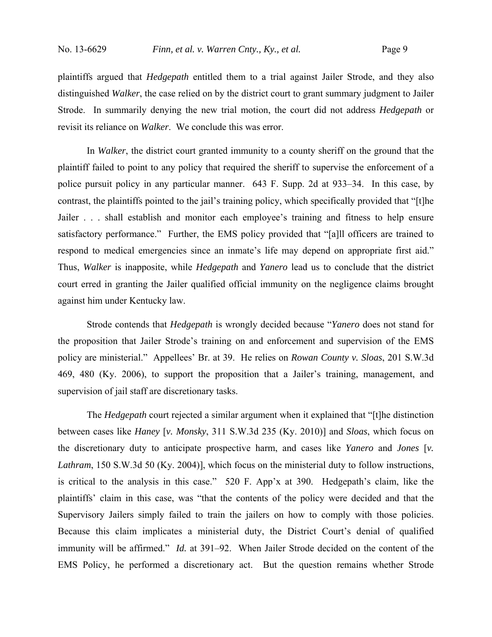plaintiffs argued that *Hedgepath* entitled them to a trial against Jailer Strode, and they also distinguished *Walker*, the case relied on by the district court to grant summary judgment to Jailer Strode. In summarily denying the new trial motion, the court did not address *Hedgepath* or revisit its reliance on *Walker*. We conclude this was error.

In *Walker*, the district court granted immunity to a county sheriff on the ground that the plaintiff failed to point to any policy that required the sheriff to supervise the enforcement of a police pursuit policy in any particular manner. 643 F. Supp. 2d at 933–34. In this case, by contrast, the plaintiffs pointed to the jail's training policy, which specifically provided that "[t]he Jailer . . . shall establish and monitor each employee's training and fitness to help ensure satisfactory performance." Further, the EMS policy provided that "[a]ll officers are trained to respond to medical emergencies since an inmate's life may depend on appropriate first aid." Thus, *Walker* is inapposite, while *Hedgepath* and *Yanero* lead us to conclude that the district court erred in granting the Jailer qualified official immunity on the negligence claims brought against him under Kentucky law.

Strode contends that *Hedgepath* is wrongly decided because "*Yanero* does not stand for the proposition that Jailer Strode's training on and enforcement and supervision of the EMS policy are ministerial." Appellees' Br. at 39. He relies on *Rowan County v. Sloas*, 201 S.W.3d 469, 480 (Ky. 2006), to support the proposition that a Jailer's training, management, and supervision of jail staff are discretionary tasks.

The *Hedgepath* court rejected a similar argument when it explained that "[t]he distinction between cases like *Haney* [*v. Monsky*, 311 S.W.3d 235 (Ky. 2010)] and *Sloas*, which focus on the discretionary duty to anticipate prospective harm, and cases like *Yanero* and *Jones* [*v. Lathram*, 150 S.W.3d 50 (Ky. 2004)], which focus on the ministerial duty to follow instructions, is critical to the analysis in this case." 520 F. App'x at 390. Hedgepath's claim, like the plaintiffs' claim in this case, was "that the contents of the policy were decided and that the Supervisory Jailers simply failed to train the jailers on how to comply with those policies. Because this claim implicates a ministerial duty, the District Court's denial of qualified immunity will be affirmed." *Id.* at 391–92. When Jailer Strode decided on the content of the EMS Policy, he performed a discretionary act. But the question remains whether Strode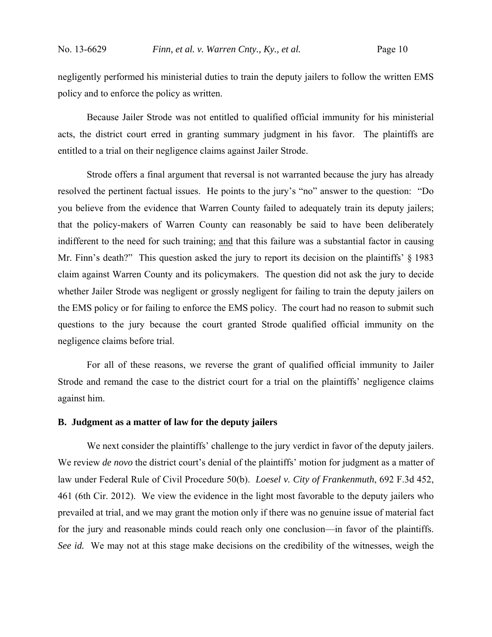negligently performed his ministerial duties to train the deputy jailers to follow the written EMS policy and to enforce the policy as written.

Because Jailer Strode was not entitled to qualified official immunity for his ministerial acts, the district court erred in granting summary judgment in his favor. The plaintiffs are entitled to a trial on their negligence claims against Jailer Strode.

Strode offers a final argument that reversal is not warranted because the jury has already resolved the pertinent factual issues. He points to the jury's "no" answer to the question: "Do you believe from the evidence that Warren County failed to adequately train its deputy jailers; that the policy-makers of Warren County can reasonably be said to have been deliberately indifferent to the need for such training; and that this failure was a substantial factor in causing Mr. Finn's death?" This question asked the jury to report its decision on the plaintiffs' § 1983 claim against Warren County and its policymakers. The question did not ask the jury to decide whether Jailer Strode was negligent or grossly negligent for failing to train the deputy jailers on the EMS policy or for failing to enforce the EMS policy. The court had no reason to submit such questions to the jury because the court granted Strode qualified official immunity on the negligence claims before trial.

For all of these reasons, we reverse the grant of qualified official immunity to Jailer Strode and remand the case to the district court for a trial on the plaintiffs' negligence claims against him.

## **B. Judgment as a matter of law for the deputy jailers**

We next consider the plaintiffs' challenge to the jury verdict in favor of the deputy jailers. We review *de novo* the district court's denial of the plaintiffs' motion for judgment as a matter of law under Federal Rule of Civil Procedure 50(b). *Loesel v. City of Frankenmuth*, 692 F.3d 452, 461 (6th Cir. 2012). We view the evidence in the light most favorable to the deputy jailers who prevailed at trial, and we may grant the motion only if there was no genuine issue of material fact for the jury and reasonable minds could reach only one conclusion—in favor of the plaintiffs. *See id.* We may not at this stage make decisions on the credibility of the witnesses, weigh the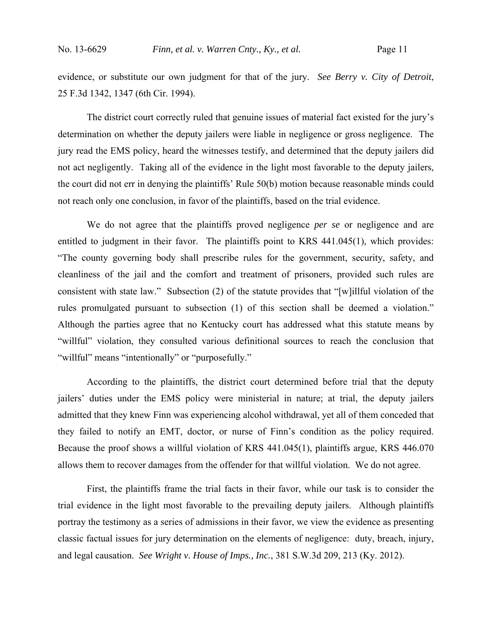evidence, or substitute our own judgment for that of the jury. *See Berry v. City of Detroit*, 25 F.3d 1342, 1347 (6th Cir. 1994).

The district court correctly ruled that genuine issues of material fact existed for the jury's determination on whether the deputy jailers were liable in negligence or gross negligence. The jury read the EMS policy, heard the witnesses testify, and determined that the deputy jailers did not act negligently. Taking all of the evidence in the light most favorable to the deputy jailers, the court did not err in denying the plaintiffs' Rule 50(b) motion because reasonable minds could not reach only one conclusion, in favor of the plaintiffs, based on the trial evidence.

 We do not agree that the plaintiffs proved negligence *per se* or negligence and are entitled to judgment in their favor. The plaintiffs point to KRS 441.045(1), which provides: "The county governing body shall prescribe rules for the government, security, safety, and cleanliness of the jail and the comfort and treatment of prisoners, provided such rules are consistent with state law." Subsection (2) of the statute provides that "[w]illful violation of the rules promulgated pursuant to subsection (1) of this section shall be deemed a violation." Although the parties agree that no Kentucky court has addressed what this statute means by "willful" violation, they consulted various definitional sources to reach the conclusion that "willful" means "intentionally" or "purposefully."

 According to the plaintiffs, the district court determined before trial that the deputy jailers' duties under the EMS policy were ministerial in nature; at trial, the deputy jailers admitted that they knew Finn was experiencing alcohol withdrawal, yet all of them conceded that they failed to notify an EMT, doctor, or nurse of Finn's condition as the policy required. Because the proof shows a willful violation of KRS 441.045(1), plaintiffs argue, KRS 446.070 allows them to recover damages from the offender for that willful violation. We do not agree.

First, the plaintiffs frame the trial facts in their favor, while our task is to consider the trial evidence in the light most favorable to the prevailing deputy jailers. Although plaintiffs portray the testimony as a series of admissions in their favor, we view the evidence as presenting classic factual issues for jury determination on the elements of negligence: duty, breach, injury, and legal causation. *See Wright v. House of Imps., Inc.*, 381 S.W.3d 209, 213 (Ky. 2012).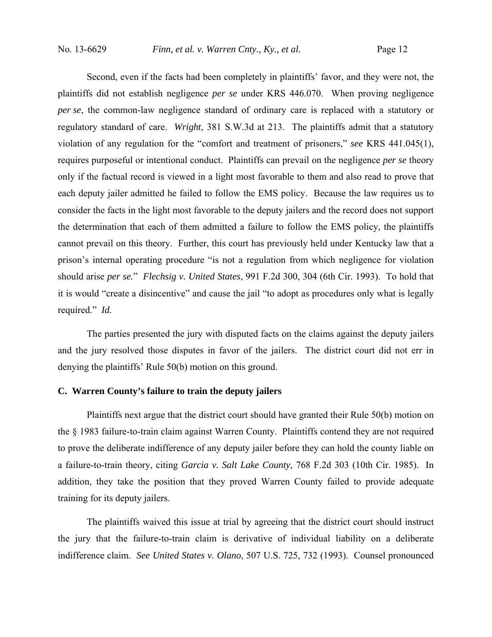Second, even if the facts had been completely in plaintiffs' favor, and they were not, the plaintiffs did not establish negligence *per se* under KRS 446.070. When proving negligence *per se*, the common-law negligence standard of ordinary care is replaced with a statutory or regulatory standard of care. *Wright*, 381 S.W.3d at 213. The plaintiffs admit that a statutory violation of any regulation for the "comfort and treatment of prisoners," *see* KRS 441.045(1), requires purposeful or intentional conduct. Plaintiffs can prevail on the negligence *per se* theory only if the factual record is viewed in a light most favorable to them and also read to prove that each deputy jailer admitted he failed to follow the EMS policy. Because the law requires us to consider the facts in the light most favorable to the deputy jailers and the record does not support the determination that each of them admitted a failure to follow the EMS policy, the plaintiffs cannot prevail on this theory. Further, this court has previously held under Kentucky law that a prison's internal operating procedure "is not a regulation from which negligence for violation should arise *per se.*" *Flechsig v. United States*, 991 F.2d 300, 304 (6th Cir. 1993). To hold that it is would "create a disincentive" and cause the jail "to adopt as procedures only what is legally required." *Id.*

The parties presented the jury with disputed facts on the claims against the deputy jailers and the jury resolved those disputes in favor of the jailers. The district court did not err in denying the plaintiffs' Rule 50(b) motion on this ground.

# **C. Warren County's failure to train the deputy jailers**

 Plaintiffs next argue that the district court should have granted their Rule 50(b) motion on the § 1983 failure-to-train claim against Warren County. Plaintiffs contend they are not required to prove the deliberate indifference of any deputy jailer before they can hold the county liable on a failure-to-train theory, citing *Garcia v. Salt Lake County*, 768 F.2d 303 (10th Cir. 1985). In addition, they take the position that they proved Warren County failed to provide adequate training for its deputy jailers.

 The plaintiffs waived this issue at trial by agreeing that the district court should instruct the jury that the failure-to-train claim is derivative of individual liability on a deliberate indifference claim. *See United States v. Olano*, 507 U.S. 725, 732 (1993). Counsel pronounced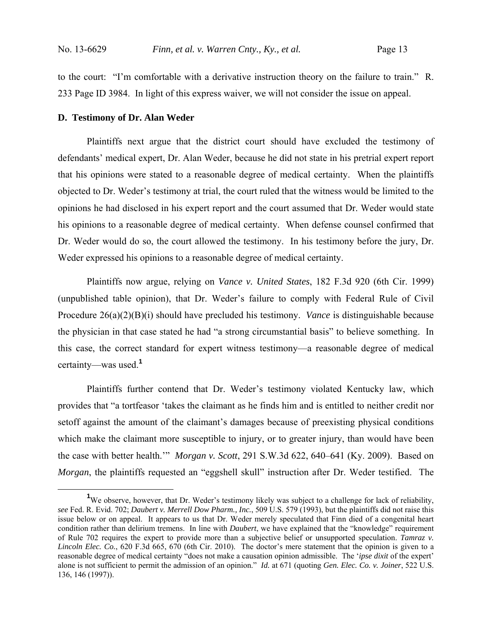to the court: "I'm comfortable with a derivative instruction theory on the failure to train." R. 233 Page ID 3984. In light of this express waiver, we will not consider the issue on appeal.

#### **D. Testimony of Dr. Alan Weder**

 Plaintiffs next argue that the district court should have excluded the testimony of defendants' medical expert, Dr. Alan Weder, because he did not state in his pretrial expert report that his opinions were stated to a reasonable degree of medical certainty. When the plaintiffs objected to Dr. Weder's testimony at trial, the court ruled that the witness would be limited to the opinions he had disclosed in his expert report and the court assumed that Dr. Weder would state his opinions to a reasonable degree of medical certainty. When defense counsel confirmed that Dr. Weder would do so, the court allowed the testimony. In his testimony before the jury, Dr. Weder expressed his opinions to a reasonable degree of medical certainty.

Plaintiffs now argue, relying on *Vance v. United States*, 182 F.3d 920 (6th Cir. 1999) (unpublished table opinion), that Dr. Weder's failure to comply with Federal Rule of Civil Procedure 26(a)(2)(B)(i) should have precluded his testimony. *Vance* is distinguishable because the physician in that case stated he had "a strong circumstantial basis" to believe something. In this case, the correct standard for expert witness testimony—a reasonable degree of medical certainty—was used.**<sup>1</sup>**

Plaintiffs further contend that Dr. Weder's testimony violated Kentucky law, which provides that "a tortfeasor 'takes the claimant as he finds him and is entitled to neither credit nor setoff against the amount of the claimant's damages because of preexisting physical conditions which make the claimant more susceptible to injury, or to greater injury, than would have been the case with better health.'" *Morgan v. Scott*, 291 S.W.3d 622, 640–641 (Ky. 2009). Based on *Morgan*, the plaintiffs requested an "eggshell skull" instruction after Dr. Weder testified. The

 $\frac{1}{1}$ <sup>1</sup>We observe, however, that Dr. Weder's testimony likely was subject to a challenge for lack of reliability, *see* Fed. R. Evid. 702; *Daubert v. Merrell Dow Pharm., Inc.*, 509 U.S. 579 (1993), but the plaintiffs did not raise this issue below or on appeal. It appears to us that Dr. Weder merely speculated that Finn died of a congenital heart condition rather than delirium tremens. In line with *Daubert*, we have explained that the "knowledge" requirement of Rule 702 requires the expert to provide more than a subjective belief or unsupported speculation. *Tamraz v. Lincoln Elec. Co.*, 620 F.3d 665, 670 (6th Cir. 2010). The doctor's mere statement that the opinion is given to a reasonable degree of medical certainty "does not make a causation opinion admissible. The '*ipse dixit* of the expert' alone is not sufficient to permit the admission of an opinion." *Id.* at 671 (quoting *Gen. Elec. Co. v. Joiner*, 522 U.S. 136, 146 (1997)).